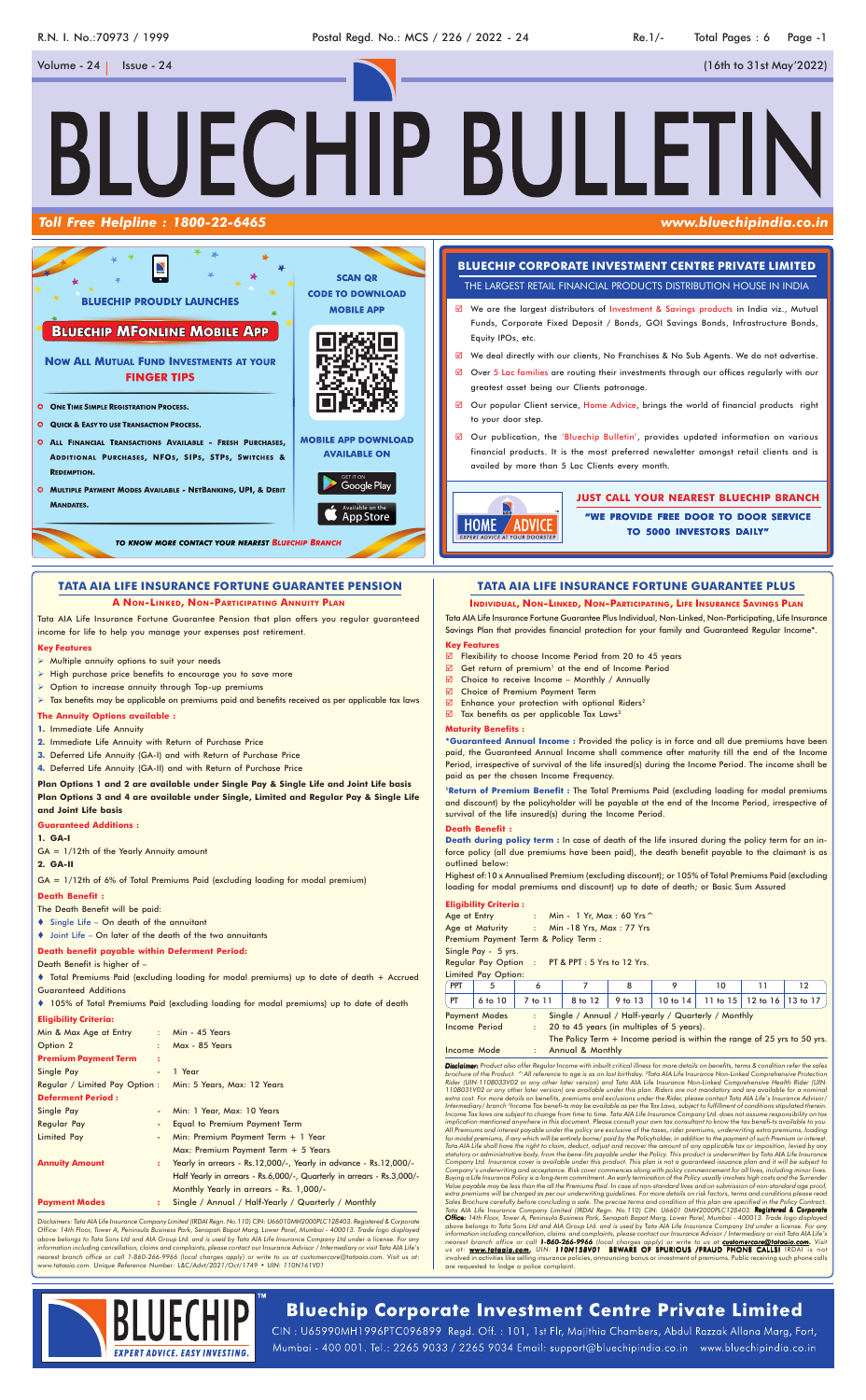R.N. I. No.:70973 / 1999 **Postal Regd. No.: MCS / 226 / 2022 - 24** Re.1/- Total Pages : 6 Page -1

BLUECHIP BULLETI

## *Toll Free Helpline : 1800-22-6465 www.bluechipindia.co.in*

Volume - 24 Issue - 24 (16th to 31st May'2022)

*Disclaimer: Product also offer Regular Income with inbuilt critical illness for more details on benefits, terms & condition refer the sales* brochure of the Product. ^ All reference to age is as on last birthday. <sup>2</sup>Tata AlA Life Insurance Non-Linked Comprehensive Protection<br>Rider (UIN:110B033V02 or any other later version) and Tata AlA Life Insurance Non-Linke 110B031V02 or any other later version) are available under this plan. Riders are not mandatory and are available for a nominal<br>extra cost. For more details on benefits, premiums and exclusions under the Rider, please conta Income Tax laws are subject to change from time to time. Tata AIA Life Insurance Company Ltd. does not assume responsibility on tax<br>implication mentioned anywhere in this document. Please consult your own tax consultant to *All Premiums and interest payable under the policy are exclusive of the taxes, rider premiums, underwriting extra premiums, loading for modal premiums, if any which will be entirely borne/ paid by the Policyholder, in addition to the payment of such Premium or interest. Tata AIA Life shall have the right to claim, deduct, adjust and recover the amount of any applicable tax or imposition, levied by any* statutory or administrative body, from the bene-fits payable under the Policy. This product is underwritten by Tata AIA Life Insurance<br>Company Ltd. Insurance cover is available under this product. This plan is not a guaran Company's underwriting and acceptance. Risk cover commences along with policy commencement for all lives, including minor lives.<br>Buying a Life Insurance Policy is a long-term commitment. An early termination of the Policy *Value payable may be less than the all the Premiums Paid. In case of non-standard lives and on submission of non-standard age proof,* extra premiums will be charged as per our underwriting guidelines. For more details on risk factors, terms and conditions please reaa<br>Sales Brochure carefully before concluding a sale. The precise terms and condition of th Tata AIA Life Insurance Company Limited (IRDAI Regn. No.110) CIN: U6601 0MH2000PLC128403. **Registered & Corporate**<br>**Office:** 14th Floor, Tower A, Peninsula Business Park, Senapati Bapat Marg, Lower Parel, Mumbai - 400013. information including cancellation, claims and complaints, please contact our Insurance Advisor / Intermediary or visit Tata AlA Life's<br>nearest branch office or call **1-860-266-9966** (local charges apply) or write to us at us at: www.tataaia.com. UIN: 110N158V01 BEWARE OF SPURIOUS /FRAUD PHONE CALLSI IRDAI is not<br>involved in activities like selling insurance policies, announcing bonus or investment of premiums. Public receiving such phone ca are requested to lodge a police complaint.



# **Bluechip Corporate Investment Centre Private Limited**

CIN: U65990MH1996PTC096899 Regd. Off.: 101, 1st Flr, Majithia Chambers, Abdul Razzak Allana Marg, Fort, Mumbai - 400 001. Tel.: 2265 9033 / 2265 9034 Email: support@bluechipindia.co.in www.bluechipindia.co.in

## **TATA AIA LIFE INSURANCE FORTUNE GUARANTEE PLUS**

◆ Total Premiums Paid (excluding loading for modal premiums) up to date of death + Accrued Guaranteed Additions

#### **INDIVIDUAL, NON-LINKED, NON-PARTICIPATING, LIFE INSURANCE SAVINGS PLAN**

Tata AIA Life Insurance Fortune Guarantee Plus Individual, Non-Linked, Non-Participating, Life Insurance Savings Plan that provides financial protection for your family and Guaranteed Regular Income\*. **Key Features**

- Flexibility to choose Income Period from 20 to 45 years
- $\boxtimes$  Get return of premium<sup>1</sup> at the end of Income Period
- $\boxtimes$  Choice to receive Income Monthly / Annually
- Choice of Premium Payment Term
- $\boxtimes$  Enhance your protection with optional Riders<sup>2</sup>
- $\boxtimes$  Tax benefits as per applicable Tax Laws<sup>3</sup>

#### **Maturity Benefits :**

**\*Guaranteed Annual Income :** Provided the policy is in force and all due premiums have been paid, the Guaranteed Annual Income shall commence after maturity till the end of the Income Period, irrespective of survival of the life insured(s) during the Income Period. The income shall be paid as per the chosen Income Frequency.

**1Return of Premium Benefit :** The Total Premiums Paid (excluding loading for modal premiums and discount) by the policyholder will be payable at the end of the Income Period, irrespective of survival of the life insured(s) during the Income Period.

#### **Death Benefit :**

**Death during policy term :** In case of death of the life insured during the policy term for an inforce policy (all due premiums have been paid), the death benefit payable to the claimant is as outlined below:

Highest of:10 x Annualised Premium (excluding discount); or 105% of Total Premiums Paid (excluding loading for modal premiums and discount) up to date of death; or Basic Sum Assured

#### **Eligibility Criteria :**

|                            |                                                |  | Age at Entry : Min - 1 Yr, Max : 60 Yrs ^   |   |         |    |    |    |  |
|----------------------------|------------------------------------------------|--|---------------------------------------------|---|---------|----|----|----|--|
|                            |                                                |  | Age at Maturity : Min -18 Yrs, Max : 77 Yrs |   |         |    |    |    |  |
|                            | Premium Payment Term & Policy Term :           |  |                                             |   |         |    |    |    |  |
|                            | Single Pay - 5 yrs.                            |  |                                             |   |         |    |    |    |  |
|                            | Regular Pay Option: PT & PPT: 5 Yrs to 12 Yrs. |  |                                             |   |         |    |    |    |  |
| <b>Limited Pay Option:</b> |                                                |  |                                             |   |         |    |    |    |  |
| PPT                        | 5                                              |  |                                             | 8 | $\circ$ | 10 | 11 | 12 |  |
|                            |                                                |  |                                             |   |         |    |    |    |  |

|    | Income Mode          |         | : Annual & Monthly                                                       |  |                                                     |  |  |  |  |
|----|----------------------|---------|--------------------------------------------------------------------------|--|-----------------------------------------------------|--|--|--|--|
|    |                      |         | The Policy Term + Income period is within the range of 25 yrs to 50 yrs. |  |                                                     |  |  |  |  |
|    | Income Period        |         | : 20 to 45 years (in multiples of 5 years).                              |  |                                                     |  |  |  |  |
|    | <b>Payment Modes</b> |         | : Single / Annual / Half-yearly / Quarterly / Monthly                    |  |                                                     |  |  |  |  |
| PT | 6 to 10              | 7 to 11 |                                                                          |  | 8 to 12 9 to 13 10 to 14 11 to 15 12 to 16 13 to 17 |  |  |  |  |

Tata AIA Life Insurance Fortune Guarantee Pension that plan offers you regular guaranteed income for life to help you manage your expenses post retirement.

#### **Key Features**

- $\triangleright$  Multiple annuity options to suit your needs
- $\triangleright$  High purchase price benefits to encourage you to save more
- $\triangleright$  Option to increase annuity through Top-up premiums
- Tax benefits may be applicable on premiums paid and benefits received as per applicable tax laws

#### **The Annuity Options available :**

- **1.** Immediate Life Annuity
- **2.** Immediate Life Annuity with Return of Purchase Price
- **3.** Deferred Life Annuity (GA-I) and with Return of Purchase Price
- **4.** Deferred Life Annuity (GA-II) and with Return of Purchase Price

#### **Plan Options 1 and 2 are available under Single Pay & Single Life and Joint Life basis Plan Options 3 and 4 are available under Single, Limited and Regular Pay & Single Life and Joint Life basis**

#### **Guaranteed Additions :**

- **1. GA-I**
- GA = 1/12th of the Yearly Annuity amount
- **2. GA-II**

GA = 1/12th of 6% of Total Premiums Paid (excluding loading for modal premium)

#### **Death Benefit :**

- The Death Benefit will be paid:
- Single Life On death of the annuitant
- Joint Life On later of the death of the two annuitants

#### **Death benefit payable within Deferment Period:**

#### Death Benefit is higher of –

|  |  | ♦ 105% of Total Premiums Paid (excluding loading for modal premiums) up to date of death |  |  |  |  |  |  |  |
|--|--|------------------------------------------------------------------------------------------|--|--|--|--|--|--|--|
|--|--|------------------------------------------------------------------------------------------|--|--|--|--|--|--|--|

#### **Eligibility Criteria:**

| Min & Max Age at Entry                                    |   | : Min - $45$ Years                                                     |
|-----------------------------------------------------------|---|------------------------------------------------------------------------|
| Option 2                                                  |   | Max - 85 Years                                                         |
| <b>Premium Payment Term</b>                               | ÷ |                                                                        |
| Single Pay                                                |   | 1 Year                                                                 |
| Regular / Limited Pay Option: Min: 5 Years, Max: 12 Years |   |                                                                        |
| <b>Deferment Period:</b>                                  |   |                                                                        |
| Single Pay                                                |   | Min: 1 Year, Max: 10 Years                                             |
| Regular Pay                                               |   | <b>Equal to Premium Payment Term</b>                                   |
| <b>Limited Pay</b>                                        |   | Min: Premium Payment Term + 1 Year                                     |
|                                                           |   | Max: Premium Payment Term $+ 5$ Years                                  |
| <b>Annuity Amount</b>                                     | ÷ | Yearly in arrears - Rs. 12,000/-, Yearly in advance - Rs. 12,000/-     |
|                                                           |   | Half Yearly in arrears - Rs.6,000/-, Quarterly in arrears - Rs.3,000/- |
|                                                           |   | Monthly Yearly in arrears - Rs. 1,000/-                                |
| <b>Payment Modes</b>                                      | ÷ | Single / Annual / Half-Yearly / Quarterly / Monthly                    |

*Disclaimers: Tata AIA Life Insurance Company Limited (IRDAI Regn. No.110) CIN: U66010MH2000PLC128403. Registered & Corporate Office: 14th Floor, Tower A, Peninsula Business Park, Senapati Bapat Marg, Lower Parel, Mumbai - 400013. Trade logo displayed above belongs to Tata Sons Ltd and AIA Group Ltd. and is used by Tata AIA Life Insurance Company Ltd under a license. For any information including cancellation, claims and complaints, please contact our Insurance Advisor / Intermediary or visit Tata AIA Life's nearest branch office or call 1-860-266-9966 (local charges apply) or write to us at customercare@tataaia.com. Visit us at: www.tataaia.com. Unique Reference Number: L&C/Advt/2021/Oct/1749 • UIN: 110N161V01*

## **TATA AIA LIFE INSURANCE FORTUNE GUARANTEE PENSION**

#### **A NON-LINKED, NON-PARTICIPATING ANNUITY PLAN**

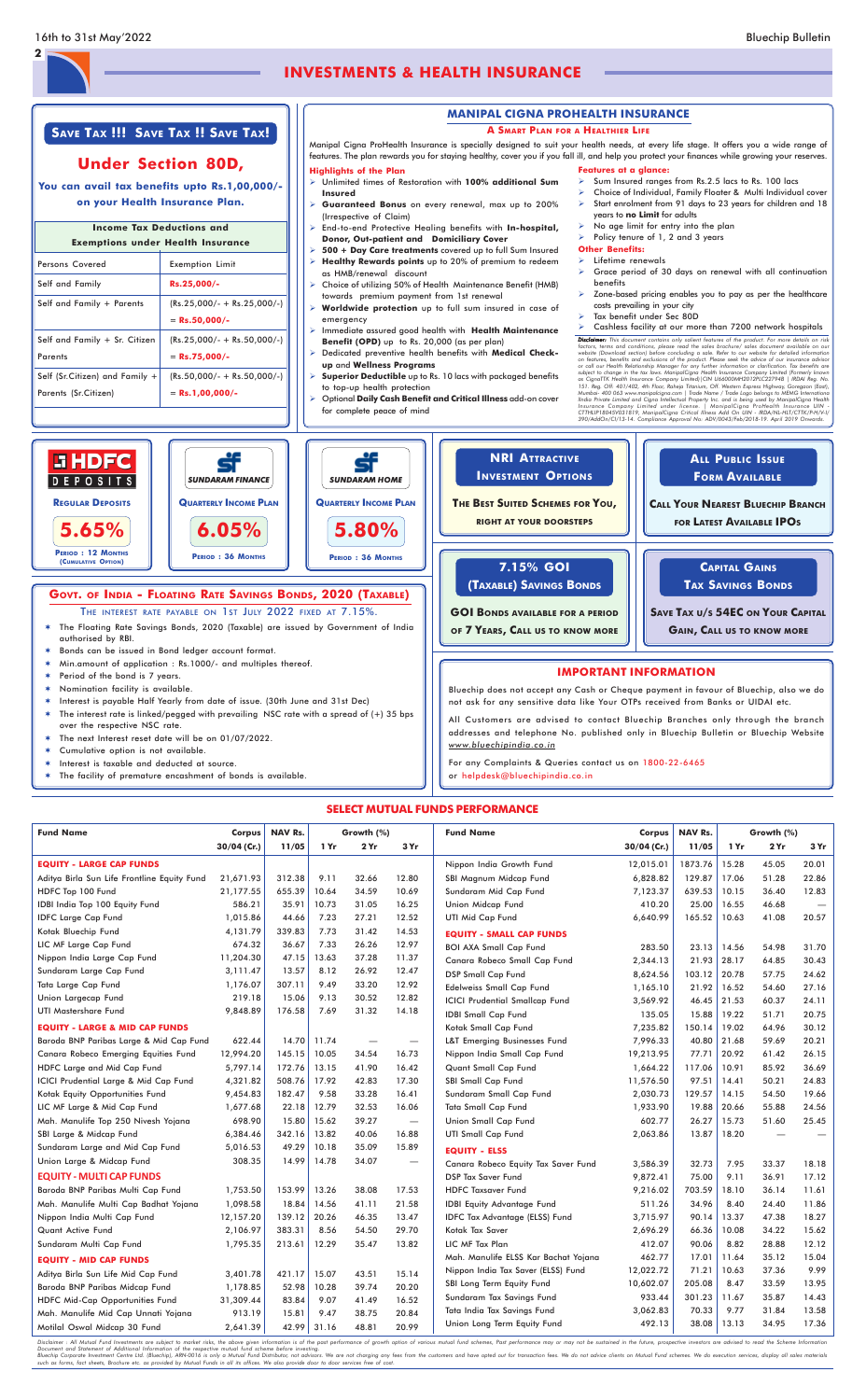## **INVESTMENTS & HEALTH INSURANCE**

**2**

## **SAVE TAX !!! SAVE TAX !! SAVE TAX!**

## **Under Section 80D,**

**You can avail tax benefits upto Rs.1,00,000/ on your Health Insurance Plan.**

## Persons Covered **Exemption Limit** Self and Family **Rs.25,000/- Income Tax Deductions and Exemptions under Health Insurance**

| Self and Family + Parents        | $(Rs.25,000/- + Rs.25,000/-)$ |
|----------------------------------|-------------------------------|
|                                  | $=$ Rs.50.000/-               |
| Self and Family + Sr. Citizen    | $(Rs.25,000/- + Rs.50,000/-)$ |
| Parents                          | $=$ Rs.75,000/-               |
| Self (Sr.Citizen) and Family $+$ | $(Rs.50,000/- + Rs.50,000/-)$ |
| Parents (Sr. Citizen)            | $=$ Rs.1,00,000/-             |

### **MANIPAL CIGNA PROHEALTH INSURANCE**

#### **A SMART PLAN FOR A HEALTHIER LIFE**

years to **no Limit** for adults No age limit for entry into the plan Policy tenure of  $1, 2$  and  $3$  years

**Other Benefits:**  $\triangleright$  Lifetime renewals

#### $\triangleright$  Grace period of 30 days on renewal with all continuation benefits Zone-based pricing enables you to pay as per the healthcare costs prevailing in your city

 $\triangleright$  Sum Insured ranges from Rs.2.5 lacs to Rs. 100 lacs Choice of Individual, Family Floater & Multi Individual cover Start enrolment from 91 days to 23 years for children and 18

Manipal Cigna ProHealth Insurance is specially designed to suit your health needs, at every life stage. It offers you a wide range of features. The plan rewards you for staying healthy, cover you if you fall ill, and help you protect your finances while growing your reserves. **Features at a glance:**

#### **Highlights of the Plan**

- Unlimited times of Restoration with **100% additional Sum Insured**
- **Guaranteed Bonus** on every renewal, max up to 200% (Irrespective of Claim)
- End-to-end Protective Healing benefits with **In-hospital, Donor, Out-patient and Domiciliary Cover**
- **500 + Day Care treatments** covered up to full Sum Insured
- **Healthy Rewards points** up to 20% of premium to redeem as HMB/renewal discount
- Choice of utilizing 50% of Health Maintenance Benefit (HMB) towards premium payment from 1st renewal
- **Worldwide protection** up to full sum insured in case of emergency
- Immediate assured good health with **Health Maintenance Benefit (OPD)** up to Rs. 20,000 (as per plan)
- Dedicated preventive health benefits with **Medical Checkup** and **Wellness Programs**
- **Superior Deductible** up to Rs. 10 lacs with packaged benefits to top-up health protection
- Optional **Daily Cash Benefit and Critical Illness** add-on cover for complete peace of mind

Tax benefit under Sec 80D

Cashless facility at our more than 7200 network hospitals

**Disclaimer:** This document contains only salient features of the product. For more details on risks<br> **Ciscus,** terms and conditions, please read the sales brochure/ sales document available on our<br>
website (Download secti

# **SELECT MUTUAL FUNDS PERFORMANCE**

| <b>Fund Name</b>                            | Corpus      | <b>NAV Rs.</b> |       | Growth (%) |                                  | <b>Fund Name</b>                      | Corpus      | <b>NAV Rs.</b> |       | Growth (%) |                          |
|---------------------------------------------|-------------|----------------|-------|------------|----------------------------------|---------------------------------------|-------------|----------------|-------|------------|--------------------------|
|                                             | 30/04 (Cr.) | 11/05          | 1 Yr  | 2 Yr       | 3 Yr                             |                                       | 30/04 (Cr.) | 11/05          | 1 Yr  | 2Yr        | 3 Yr                     |
| <b>EQUITY - LARGE CAP FUNDS</b>             |             |                |       |            |                                  | Nippon India Growth Fund              | 12,015.01   | 1873.76        | 15.28 | 45.05      | 20.01                    |
| Aditya Birla Sun Life Frontline Equity Fund | 21,671.93   | 312.38         | 9.11  | 32.66      | 12.80                            | SBI Magnum Midcap Fund                | 6,828.82    | 129.87         | 17.06 | 51.28      | 22.86                    |
| HDFC Top 100 Fund                           | 21,177.55   | 655.39         | 10.64 | 34.59      | 10.69                            | Sundaram Mid Cap Fund                 | 7,123.37    | 639.53         | 10.15 | 36.40      | 12.83                    |
| IDBI India Top 100 Equity Fund              | 586.21      | 35.91          | 10.73 | 31.05      | 16.25                            | Union Midcap Fund                     | 410.20      | 25.00          | 16.55 | 46.68      | $\overline{\phantom{m}}$ |
| <b>IDFC Large Cap Fund</b>                  | 1,015.86    | 44.66          | 7.23  | 27.21      | 12.52                            | <b>UTI Mid Cap Fund</b>               | 6,640.99    | 165.52         | 10.63 | 41.08      | 20.57                    |
| Kotak Bluechip Fund                         | 4,131.79    | 339.83         | 7.73  | 31.42      | 14.53                            | <b>EQUITY - SMALL CAP FUNDS</b>       |             |                |       |            |                          |
| LIC MF Large Cap Fund                       | 674.32      | 36.67          | 7.33  | 26.26      | 12.97                            | <b>BOI AXA Small Cap Fund</b>         | 283.50      | 23.13          | 14.56 | 54.98      | 31.70                    |
| Nippon India Large Cap Fund                 | 11,204.30   | 47.15          | 13.63 | 37.28      | 11.37                            | Canara Robeco Small Cap Fund          | 2,344.13    | 21.93          | 28.17 | 64.85      | 30.43                    |
| Sundaram Large Cap Fund                     | 3,111.47    | 13.57          | 8.12  | 26.92      | 12.47                            | <b>DSP Small Cap Fund</b>             | 8,624.56    | 103.12         | 20.78 | 57.75      | 24.62                    |
| Tata Large Cap Fund                         | 1,176.07    | 307.11         | 9.49  | 33.20      | 12.92                            | Edelweiss Small Cap Fund              | 1,165.10    | 21.92          | 16.52 | 54.60      | 27.16                    |
| Union Largecap Fund                         | 219.18      | 15.06          | 9.13  | 30.52      | 12.82                            | <b>ICICI Prudential Smallcap Fund</b> | 3,569.92    | 46.45          | 21.53 | 60.37      | 24.11                    |
| <b>UTI Mastershare Fund</b>                 | 9,848.89    | 176.58         | 7.69  | 31.32      | 14.18                            | <b>IDBI Small Cap Fund</b>            | 135.05      | 15.88          | 19.22 | 51.71      | 20.75                    |
| <b>EQUITY - LARGE &amp; MID CAP FUNDS</b>   |             |                |       |            |                                  | Kotak Small Cap Fund                  | 7,235.82    | 150.14         | 19.02 | 64.96      | 30.12                    |
| Baroda BNP Paribas Large & Mid Cap Fund     | 622.44      | 14.70          | 11.74 |            | $\overbrace{\phantom{12322111}}$ | L&T Emerging Businesses Fund          | 7,996.33    | 40.80          | 21.68 | 59.69      | 20.21                    |
| Canara Robeco Emerging Equities Fund        | 12,994.20   | 145.15         | 10.05 | 34.54      | 16.73                            | Nippon India Small Cap Fund           | 19,213.95   | 77.71          | 20.92 | 61.42      | 26.15                    |
| HDFC Large and Mid Cap Fund                 | 5,797.14    | 172.76         | 13.15 | 41.90      | 16.42                            | Quant Small Cap Fund                  | 1,664.22    | 117.06         | 10.91 | 85.92      | 36.69                    |
| ICICI Prudential Large & Mid Cap Fund       | 4,321.82    | 508.76         | 17.92 | 42.83      | 17.30                            | SBI Small Cap Fund                    | 11,576.50   | 97.51          | 14.41 | 50.21      | 24.83                    |
| Kotak Equity Opportunities Fund             | 9,454.83    | 182.47         | 9.58  | 33.28      | 16.41                            | Sundaram Small Cap Fund               | 2,030.73    | 129.57         | 14.15 | 54.50      | 19.66                    |
| LIC MF Large & Mid Cap Fund                 | 1,677.68    | 22.18          | 12.79 | 32.53      | 16.06                            | Tata Small Cap Fund                   | 1,933.90    | 19.88          | 20.66 | 55.88      | 24.56                    |
| Mah. Manulife Top 250 Nivesh Yojana         | 698.90      | 15.80          | 15.62 | 39.27      | $\overbrace{\phantom{12322111}}$ | Union Small Cap Fund                  | 602.77      | 26.27          | 15.73 | 51.60      | 25.45                    |
| SBI Large & Midcap Fund                     | 6,384.46    | 342.16         | 13.82 | 40.06      | 16.88                            | <b>UTI Small Cap Fund</b>             | 2,063.86    | 13.87          | 18.20 |            |                          |
| Sundaram Large and Mid Cap Fund             | 5,016.53    | 49.29          | 10.18 | 35.09      | 15.89                            | <b>EQUITY - ELSS</b>                  |             |                |       |            |                          |
| Union Large & Midcap Fund                   | 308.35      | 14.99          | 14.78 | 34.07      |                                  | Canara Robeco Equity Tax Saver Fund   | 3,586.39    | 32.73          | 7.95  | 33.37      | 18.18                    |
| <b>EQUITY - MULTI CAP FUNDS</b>             |             |                |       |            |                                  | <b>DSP Tax Saver Fund</b>             | 9,872.41    | 75.00          | 9.11  | 36.91      | 17.12                    |
| Baroda BNP Paribas Multi Cap Fund           | 1,753.50    | 153.99         | 13.26 | 38.08      | 17.53                            | <b>HDFC Taxsaver Fund</b>             | 9,216.02    | 703.59         | 18.10 | 36.14      | 11.61                    |
| Mah. Manulife Multi Cap Badhat Yojana       | 1,098.58    | 18.84          | 14.56 | 41.11      | 21.58                            | <b>IDBI Equity Advantage Fund</b>     | 511.26      | 34.96          | 8.40  | 24.40      | 11.86                    |
| Nippon India Multi Cap Fund                 | 12,157.20   | 139.12         | 20.26 | 46.35      | 13.47                            | IDFC Tax Advantage (ELSS) Fund        | 3,715.97    | 90.14          | 13.37 | 47.38      | 18.27                    |
| <b>Quant Active Fund</b>                    | 2,106.97    | 383.31         | 8.56  | 54.50      | 29.70                            | Kotak Tax Saver                       | 2,696.29    | 66.36          | 10.08 | 34.22      | 15.62                    |
| Sundaram Multi Cap Fund                     | 1,795.35    | 213.61         | 12.29 | 35.47      | 13.82                            | LIC MF Tax Plan                       | 412.07      | 90.06          | 8.82  | 28.88      | 12.12                    |
| <b>EQUITY - MID CAP FUNDS</b>               |             |                |       |            |                                  | Mah. Manulife ELSS Kar Bachat Yojana  | 462.77      | 17.01          | 11.64 | 35.12      | 15.04                    |
| Aditya Birla Sun Life Mid Cap Fund          | 3,401.78    | 421.17         | 15.07 | 43.51      | 15.14                            | Nippon India Tax Saver (ELSS) Fund    | 12,022.72   | 71.21          | 10.63 | 37.36      | 9.99                     |
| Baroda BNP Paribas Midcap Fund              | 1,178.85    | 52.98          | 10.28 | 39.74      | 20.20                            | SBI Long Term Equity Fund             | 10,602.07   | 205.08         | 8.47  | 33.59      | 13.95                    |
| HDFC Mid-Cap Opportunities Fund             | 31,309.44   | 83.84          | 9.07  | 41.49      | 16.52                            | Sundaram Tax Savings Fund             | 933.44      | 301.23         | 11.67 | 35.87      | 14.43                    |
| Mah. Manulife Mid Cap Unnati Yojana         | 913.19      | 15.81          | 9.47  | 38.75      | 20.84                            | Tata India Tax Savings Fund           | 3,062.83    | 70.33          | 9.77  | 31.84      | 13.58                    |
| Motilal Oswal Midcap 30 Fund                | 2,641.39    | 42.99          | 31.16 | 48.81      | 20.99                            | Union Long Term Equity Fund           | 492.13      | 38.08          | 13.13 | 34.95      | 17.36                    |

Disclaimer : All Mutual Fund Investments are subject to market risks, the above given information is of the past performance of growth option of various mutual fund schemes, Past performance may or may not be sustained in



*www.bluechipindia.co.in*

For any Complaints & Queries contact us on 1800-22-6465

or helpdesk@bluechipindia.co.in

- The next Interest reset date will be on 01/07/2022.
- Cumulative option is not available.
- Interest is taxable and deducted at source.
- The facility of premature encashment of bonds is available.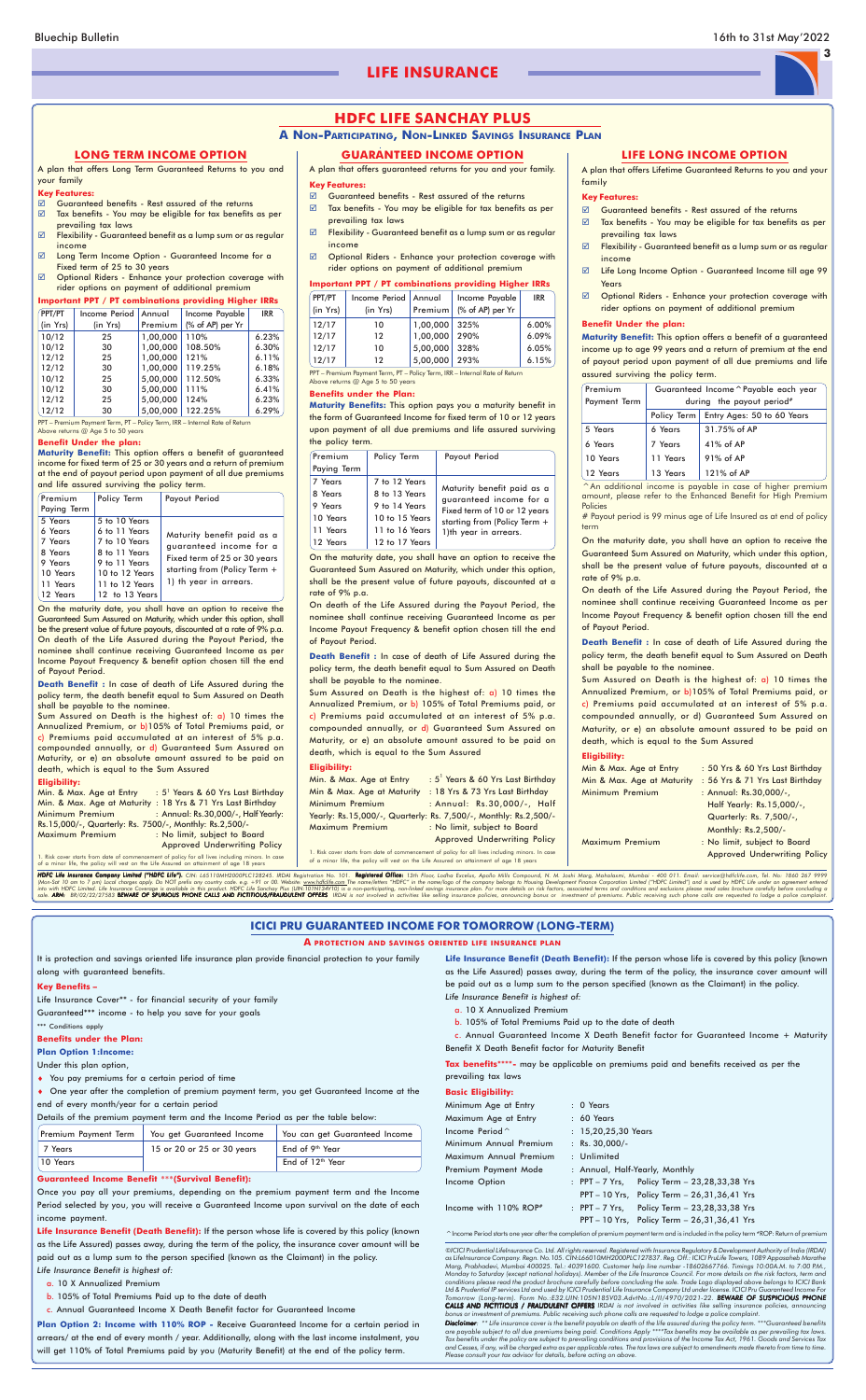#### **Key Features:**

- Guaranteed benefits Rest assured of the returns
- Tax benefits You may be eligible for tax benefits as per prevailing tax laws
- $\boxtimes$  Flexibility Guaranteed benefit as a lump sum or as regular income
- Optional Riders Enhance your protection coverage with rider options on payment of additional premium

#### **Important PPT / PT combinations providing Higher IRRs**

| PPT/PT<br>(in Yrs) | Income Period   Annual<br>(in Yrs) | Premium       | Income Payable<br>(% of AP) per Yr | <b>IRR</b> |
|--------------------|------------------------------------|---------------|------------------------------------|------------|
| 12/17              | 10                                 | 1,00,000 325% |                                    | 6.00%      |
| 12/17              | 12                                 | 1,00,000      | 290%                               | 6.09%      |
| 12/17              | 10                                 | 5.00.000 328% |                                    | 6.05%      |
| 12/17              | $12 \,$                            | 5.00.000 293% |                                    | 6.15%      |

. Risk cover starts from date of commencement of policy for all lives including minors. In case of a minor life, the policy will vest on the Life Assured on attainment of age 18 years

HDFC Life Insurance Company Limited ("HDFC Life"). CIN: L65110MH2000PLC128245. IRDAI Registration No. 101. Registered Office: 13th Floor, Lodha Excelus, Apollo Mills Compound, N. M. Joshi Marg, Mahalaxmi, Mumbai - 400 011.

PPT – Premium Payment Term, PT – Policy Term, IRR – Internal Rate of Return Above returns @ Age 5 to 50 years

#### **Benefits under the Plan:**

- $\boxtimes$  Guaranteed benefits Rest assured of the returns
- $\boxtimes$  Tax benefits You may be eligible for tax benefits as per prevailing tax laws
- $\boxtimes$  Flexibility Guaranteed benefit as a lump sum or as regular income
- Life Long Income Option Guaranteed Income till age 99 Years
- $\boxtimes$  Optional Riders Enhance your protection coverage with rider options on payment of additional premium

**Maturity Benefits:** This option pays you a maturity benefit in the form of Guaranteed Income for fixed term of 10 or 12 years upon payment of all due premiums and life assured surviving the policy term.

On the maturity date, you shall have an option to receive the Guaranteed Sum Assured on Maturity, which under this option, shall be the present value of future payouts, discounted at a rate of 9% p.a.

On death of the Life Assured during the Payout Period, the nominee shall continue receiving Guaranteed Income as per Income Payout Frequency & benefit option chosen till the end of Payout Period.

**Death Benefit :** In case of death of Life Assured during the policy term, the death benefit equal to Sum Assured on Death shall be payable to the nominee.

Sum Assured on Death is the highest of: a) 10 times the Annualized Premium, or b) 105% of Total Premiums paid, or c) Premiums paid accumulated at an interest of 5% p.a. compounded annually, or d) Guaranteed Sum Assured on Maturity, or e) an absolute amount assured to be paid on death, which is equal to the Sum Assured

#### **Eligibility:**

| Min. & Max. Age at Entry   | : 5 <sup>1</sup> Years & 60 Yrs Last Birthday                    |
|----------------------------|------------------------------------------------------------------|
| Min & Max. Age at Maturity | : 18 Yrs & 73 Yrs Last Birthday                                  |
| Minimum Premium            | : Annual: Rs.30,000/-, Half                                      |
|                            | Yearly: Rs.15,000/-, Quarterly: Rs. 7,500/-, Monthly: Rs.2,500/- |
| Maximum Premium            | : No limit, subject to Board                                     |
|                            | <b>Approved Underwriting Policy</b>                              |

A plan that offers guaranteed returns for you and your family. **GUARANTEED INCOME OPTION**

A plan that offers Lifetime Guaranteed Returns to you and your family

#### **Key Features:**

| Premium<br>Paying Term                                            | Policy Term                                                                                           | Payout Period                                                                                                                                  |
|-------------------------------------------------------------------|-------------------------------------------------------------------------------------------------------|------------------------------------------------------------------------------------------------------------------------------------------------|
| 7 Years<br>8 Years<br>9 Years<br>10 Years<br>11 Years<br>12 Years | 7 to 12 Years<br>8 to 13 Years<br>9 to 14 Years<br>10 to 15 Years<br>11 to 16 Years<br>12 to 17 Years | Maturity benefit paid as a<br>guaranteed income for a<br>Fixed term of 10 or 12 years<br>starting from (Policy Term +<br>1)th year in arrears. |

#### **Benefit Under the plan:**

**Maturity Benefit:** This option offers a benefit of a guaranteed income up to age 99 years and a return of premium at the end of payout period upon payment of all due premiums and life assured surviving the policy term.

Min. & Max. Age at Entry : 5<sup>1</sup> Years & 60 Yrs Last Birthday Min. & Max. Age at Maturity : 18 Yrs & 71 Yrs Last Birthday Minimum Premium : Annual: Rs.30,000/-, Half Yearly: Rs.15,000/-, Quarterly: Rs. 7500/-, Monthly: Rs.2,500/- Maximum Premium : No limit, subject to Board

| Premium      | Guaranteed Income ^ Payable each year |                            |  |  |  |  |
|--------------|---------------------------------------|----------------------------|--|--|--|--|
| Payment Term | during the payout period <sup>#</sup> |                            |  |  |  |  |
|              | Policy Term                           | Entry Ages: 50 to 60 Years |  |  |  |  |
| 5 Years      | 6 Years                               | 31.75% of AP               |  |  |  |  |
| 6 Years      | 7 Years                               | $41\%$ of AP               |  |  |  |  |
| 10 Years     | 11 Years                              | 91% of AP                  |  |  |  |  |
| 12 Years     | 13 Years                              | 121% of AP                 |  |  |  |  |

^An additional income is payable in case of higher premium amount, please refer to the Enhanced Benefit for High Premium Policies

# Payout period is 99 minus age of Life Insured as at end of policy term

On the maturity date, you shall have an option to receive the Guaranteed Sum Assured on Maturity, which under this option, shall be the present value of future payouts, discounted at a rate of 9% p.a.

On death of the Life Assured during the Payout Period, the nominee shall continue receiving Guaranteed Income as per Income Payout Frequency & benefit option chosen till the end of Payout Period.

**Death Benefit :** In case of death of Life Assured during the policy term, the death benefit equal to Sum Assured on Death shall be payable to the nominee.

Sum Assured on Death is the highest of: a) 10 times the Annualized Premium, or b)105% of Total Premiums paid, or c) Premiums paid accumulated at an interest of 5% p.a. compounded annually, or d) Guaranteed Sum Assured on Maturity, or e) an absolute amount assured to be paid on death, which is equal to the Sum Assured

#### **Eligibility:**

|    | Min & Max. Age at Entry    | : 50 Yrs & 60 Yrs Last Birthday |
|----|----------------------------|---------------------------------|
|    | Min & Max. Age at Maturity | : 56 Yrs & 71 Yrs Last Birthday |
|    | Minimum Premium            | : Annual: Rs.30,000/-,          |
|    |                            | Half Yearly: Rs.15,000/-,       |
|    |                            | Quarterly: Rs. 7,500/-,         |
|    |                            | Monthly: Rs.2,500/-             |
|    | Maximum Premium            | : No limit, subject to Board    |
| e. |                            | Approved Underwriting Policy    |
|    |                            |                                 |
|    |                            |                                 |

Life Insurance Cover\*\* - for financial security of your family

©ICICI Prudential Lifelnsurance Co. Ltd. All rights reserved. Registered with Insurance Regulatory & Development Authority of India (IRDAI)<br>as Lifelnsurance Company. Regn. No. 105. CIN: L66010MH2000PLC127837. Reg. Off.: IC Monday to Saturday (except national holidays). Member of the Life Insurance Council. For more details on the risk factors, term and<br>conditions please read the product brochure carefully before concluding the sale. Trade Lo Ltd & Prudential IP services Ltd and used by ICICI Prudential Life Insurance Company Ltd under license. ICICI Pru Guara Tomorrow (Long-term). Form No.:E32.UIN:105N185V03.AdvtNo.:L/II/4970/2021-22. **BEWARE OF SUSPICIOUS PHONE**<br>**CALLS AND FICTITIOUS / FRAUDULENT OFFERS** IRDAI is not involved in activities like selling insurance policies, anno *bonus or investment of premiums. Public receiving such phone calls are requested to lodge a police complaint.*

#### **LONG TERM INCOME OPTION**

**Disclaimer:** \*\* Life insurance cover is the benefit payable on death of the life assured during the policy term. \*\*\*Guaranteed benefits are payable subject to all due premiums being paid. Conditions Apply \*\*\*\*Tax benefits may be available as per prevailing tax laws.<br>Tax benefits under the policy are subject to prevailing conditions and provisions of the In *and Cesses, if any, will be charged extra as per applicable rates. The tax laws are subject to amendments made thereto from time to time. Please consult your tax advisor for details, before acting on above.*

A plan that offers Long Term Guaranteed Returns to you and your family

#### **Key Features:**

- Guaranteed benefits Rest assured of the returns
- Tax benefits You may be eligible for tax benefits as per prevailing tax laws
- Flexibility Guaranteed benefit as a lump sum or as regular income
- Long Term Income Option Guaranteed Income for a Fixed term of 25 to 30 years
- $\boxtimes$  Optional Riders Enhance your protection coverage with rider options on payment of additional premium

#### **Important PPT / PT combinations providing Higher IRRs**

| Premium<br>Paying Term                                                                  | Policy Term                                                                                                                             | Payout Period                                                                                                                                     |
|-----------------------------------------------------------------------------------------|-----------------------------------------------------------------------------------------------------------------------------------------|---------------------------------------------------------------------------------------------------------------------------------------------------|
| 5 Years<br>6 Years<br>7 Years<br>8 Years<br>9 Years<br>10 Years<br>11 Years<br>12 Years | 5 to 10 Years<br>6 to 11 Years<br>7 to 10 Years<br>8 to 11 Years<br>9 to 11 Years<br>10 to 12 Years<br>11 to 12 Years<br>12 to 13 Years | Maturity benefit paid as a<br>quaranteed income for a<br>Fixed term of 25 or 30 years<br>starting from (Policy Term $+$<br>1) th year in arrears. |

| Income Period | Annual   | Income Payable   | <b>IRR</b> |
|---------------|----------|------------------|------------|
|               |          |                  |            |
| (in Yrs)      | Premium  | (% of AP) per Yr |            |
| 25            | 1.00.000 | 110%             | 6.23%      |
| 30            | 1.00.000 | 108.50%          | 6.30%      |
| 25            | 1.00.000 | 121%             | 6.11%      |
| 30            | 1,00,000 | 119.25%          | 6.18%      |
| 25            | 5.00.000 | 112.50%          | 6.33%      |
| 30            | 5,00,000 | 111%             | 6.41%      |
| 25            | 5,00,000 | 124%             | 6.23%      |
| 30            | 5,00,000 | 122.25%          | 6.29%      |
|               |          |                  |            |

PPT – Premium Payment Term, PT – Policy Term, IRR – Internal Rate of Return Above returns @ Age 5 to 50 years

#### **Benefit Under the plan:**

**Maturity Benefit:** This option offers a benefit of guaranteed income for fixed term of 25 or 30 years and a return of premium at the end of payout period upon payment of all due premiums and life assured surviving the policy term.

On the maturity date, you shall have an option to receive the Guaranteed Sum Assured on Maturity, which under this option, shall be the present value of future payouts, discounted at a rate of 9% p.a. On death of the Life Assured during the Payout Period, the nominee shall continue receiving Guaranteed Income as per Income Payout Frequency & benefit option chosen till the end of Payout Period.

**Death Benefit :** In case of death of Life Assured during the policy term, the death benefit equal to Sum Assured on Death shall be payable to the nominee.

Sum Assured on Death is the highest of: a) 10 times the Annualized Premium, or b)105% of Total Premiums paid, or c) Premiums paid accumulated at an interest of 5% p.a. compounded annually, or d) Guaranteed Sum Assured on Maturity, or e) an absolute amount assured to be paid on death, which is equal to the Sum Assured

#### **Eligibility:**

Approved Underwriting Policy

1. Risk cover starts from date of commencement of policy for all lives including minors. In case of a minor life, the policy will vest on the Life Assured on attainment of age 18 years

#### **LIFE LONG INCOME OPTION**

## **HDFC LIFE SANCHAY PLUS**

#### **A NON-PARTICIPATING, NON-LINKED SAVINGS INSURANCE PLAN**

It is protection and savings oriented life insurance plan provide financial protection to your family along with guaranteed benefits.

#### **Key Benefits –**

Guaranteed\*\*\* income - to help you save for your goals

\*\*\* Conditions apply

#### **Benefits under the Plan:**

#### **Plan Option 1:Income:**

Under this plan option,

- ♦ You pay premiums for a certain period of time
- ♦ One year after the completion of premium payment term, you get Guaranteed Income at the end of every month/year for a certain period

Details of the premium payment term and the Income Period as per the table below:

| Premium Payment Term | You get Guaranteed Income  | You can get Guaranteed Income |
|----------------------|----------------------------|-------------------------------|
| 7 Years              | 15 or 20 or 25 or 30 years | End of 9 <sup>th</sup> Year   |
| 10 Years             |                            | End of 12 <sup>th</sup> Year  |

#### **Guaranteed Income Benefit** \*\*\***(Survival Benefit):**

Once you pay all your premiums, depending on the premium payment term and the Income Period selected by you, you will receive a Guaranteed Income upon survival on the date of each income payment.

**Life Insurance Benefit (Death Benefit):** If the person whose life is covered by this policy (known as the Life Assured) passes away, during the term of the policy, the insurance cover amount will be paid out as a lump sum to the person specified (known as the Claimant) in the policy.

*Life Insurance Benefit is highest of:*

- a. 10 X Annualized Premium
- b. 105% of Total Premiums Paid up to the date of death
- c. Annual Guaranteed Income X Death Benefit factor for Guaranteed Income

**Plan Option 2: Income with 110% ROP -** Receive Guaranteed Income for a certain period in arrears/ at the end of every month / year. Additionally, along with the last income instalment, you will get 110% of Total Premiums paid by you (Maturity Benefit) at the end of the policy term.

#### **ICICI PRU GUARANTEED INCOME FOR TOMORROW (LONG-TERM)**

#### **A PROTECTION AND SAVINGS ORIENTED LIFE INSURANCE PLAN**

**Life Insurance Benefit (Death Benefit):** If the person whose life is covered by this policy (known as the Life Assured) passes away, during the term of the policy, the insurance cover amount will be paid out as a lump sum to the person specified (known as the Claimant) in the policy. *Life Insurance Benefit is highest of:*

a. 10 X Annualized Premium

b. 105% of Total Premiums Paid up to the date of death

c. Annual Guaranteed Income X Death Benefit factor for Guaranteed Income + Maturity Benefit X Death Benefit factor for Maturity Benefit

**Tax benefits**\*\*\*\***-** may be applicable on premiums paid and benefits received as per the prevailing tax laws

#### **Basic Eligibility:**

| Minimum Age at Entry                 | $: 0$ Years           |                                                |
|--------------------------------------|-----------------------|------------------------------------------------|
| Maximum Age at Entry                 | $: 60$ Years          |                                                |
| Income Period $\hat{}$               | : $15,20,25,30$ Years |                                                |
| Minimum Annual Premium               | : $Rs. 30,000/-$      |                                                |
| Maximum Annual Premium               | : Unlimited           |                                                |
| Premium Payment Mode                 |                       | : Annual, Half-Yearly, Monthly                 |
| Income Option                        |                       | : PPT $-7$ Yrs, Policy Term $-23,28,33,38$ Yrs |
|                                      |                       | PPT - 10 Yrs, Policy Term - 26,31,36,41 Yrs    |
| Income with $110\%$ ROP <sup>#</sup> |                       | : PPT - 7 Yrs, Policy Term - 23,28,33,38 Yrs   |
|                                      |                       | PPT - 10 Yrs, Policy Term - 26,31,36,41 Yrs    |

^Income Period starts one year after the completion of premium payment term and is included in the policy term #ROP: Return of premium

**3**

## **LIFE INSURANCE**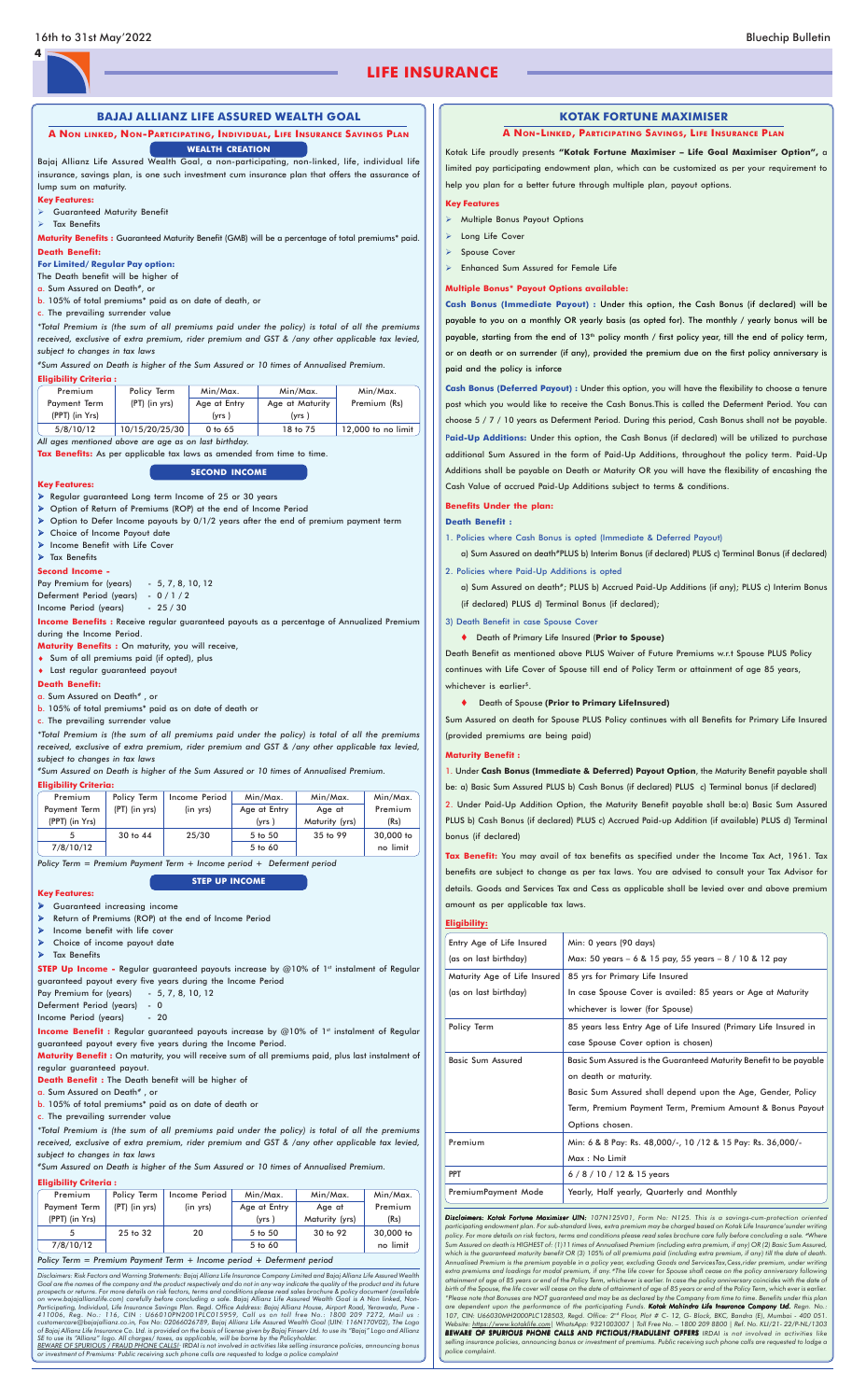#### **BAJAJ ALLIANZ LIFE ASSURED WEALTH GOAL**

*Disclaimers: Risk Factors and Warning Statements: Bajaj Allianz Life Insurance Company Limited and Bajaj Allianz Life Assured Wealth* Goal are the names of the company and the product respectively and do not in any way indicate the quality of the product and its future<br>prospects or returns. For more details on risk factors, terms and conditions please re *on www.bajajallianzlife.com) carefully before concluding a sale. Bajaj Allianz Life Assured Wealth Goal is A Non linked, Non-*Participating, Individual, Life Insurance Savings Plan. Regd. Office Address: Bajaj Allianz House, Airport Road, Yerawada, Pune -<br>411006, Reg. No.: 116, CIN : U66010PN2001PLC015959, Call us on toll free No.: 18 *customercare@bajajallianz.co.in, Fax No: 02066026789, Bajaj Allianz Life Assured Wealth Goal (UIN: 116N170V02), The Logo* of Bajaj Allianz Life Insurance Co. Ltd. is provided on the basis of license given by Bajaj Finserv Ltd. to use its "Bajaj" Logo and Allianz<br>SE to use its "Allianz" logo. All charges/ taxes, as applicable, will be borne by

**A NON LINKED, NON-PARTICIPATING, INDIVIDUAL, LIFE INSURANCE SAVINGS PLAN WEALTH CREATION**

- Regular guaranteed Long term Income of 25 or 30 years
- Option of Return of Premiums (ROP) at the end of Income Period
- Option to Defer Income payouts by 0/1/2 years after the end of premium payment term
- Choice of Income Payout date
- > Income Benefit with Life Cover

#### > Tax Benefits

*or investment of Premiums· Public receiving such phone calls are requested to lodge a police complaint*

Pay Premium for (years) - 5, 7, 8, 10, 12 Deferment Period (years) - 0 / 1 / 2 Income Period (years) - 25 / 30

Bajaj Allianz Life Assured Wealth Goal, a non-participating, non-linked, life, individual life insurance, savings plan, is one such investment cum insurance plan that offers the assurance of lump sum on maturity.

#### **Key Features:**

Guaranteed Maturity Benefit

 $\triangleright$  Tax Benefits

**Maturity Benefits :** Guaranteed Maturity Benefit (GMB) will be a percentage of total premiums\* paid. **Death Benefit:**

**For Limited/ Regular Pay option:**

The Death benefit will be higher of

a. Sum Assured on Death#, or

b. 105% of total premiums\* paid as on date of death, or

c. The prevailing surrender value

- Guaranteed increasing income
- Return of Premiums (ROP) at the end of Income Period
- $\triangleright$  Income benefit with life cover
- **Choice of income payout date**

## > Tax Benefits

*\*Total Premium is (the sum of all premiums paid under the policy) is total of all the premiums received, exclusive of extra premium, rider premium and GST & /any other applicable tax levied, subject to changes in tax laws*

**STEP Up Income -** Regular guaranteed payouts increase by @10% of 1st instalment of Regular guaranteed payout every five years during the Income Period Pay Premium for (years) - 5, 7, 8, 10, 12

*#Sum Assured on Death is higher of the Sum Assured or 10 times of Annualised Premium.*

#### **Eligibility Criteria :**

**Income Benefit :** Regular guaranteed payouts increase by @10% of 1st instalment of Regular guaranteed payout every five years during the Income Period.

| Premium        | Policy Term     | Min/Max.     | Min/Max.        | Min/Max.             |
|----------------|-----------------|--------------|-----------------|----------------------|
| Payment Term   | $(PT)$ (in yrs) | Age at Entry | Age at Maturity | Premium (Rs)         |
| (PPT) (in Yrs) |                 | (yrs)        | (yrs)           |                      |
| 5/8/10/12      | 10/15/20/25/30  | $0$ to $65$  | 18 to 75        | $12,000$ to no limit |

*All ages mentioned above are age as on last birthday.*

**Tax Benefits:** As per applicable tax laws as amended from time to time.

#### **SECOND INCOME**

#### **Key Features:**

**Second Income -**

**Income Benefits :** Receive regular guaranteed payouts as a percentage of Annualized Premium during the Income Period.

**Maturity Benefits :** On maturity, you will receive,

- ♦ Sum of all premiums paid (if opted), plus
- ♦ Last regular guaranteed payout

#### **Death Benefit:**

a. Sum Assured on Death#, or

- b. 105% of total premiums\* paid as on date of death or
- c. The prevailing surrender value

*\*Total Premium is (the sum of all premiums paid under the policy) is total of all the premiums received, exclusive of extra premium, rider premium and GST & /any other applicable tax levied, subject to changes in tax laws*

*#Sum Assured on Death is higher of the Sum Assured or 10 times of Annualised Premium.*

Disclaimers: Kotak Fortune Maximiser UIN: 107N125V01, Form No: N125. This is a savings-cum-protection oriented *participating endowment plan. For sub-standard lives, extra premium may be charged based on Kotak Life Insurance'sunder writing policy. For more details on risk factors, terms and conditions please read sales brochure care fully before concluding a sale. #Where Sum Assured on death is HIGHEST of: (1)11 times of Annualised Premium (including extra premium, if any) OR (2) Basic Sum Assured, which is the guaranteed maturity benefit OR (3) 105% of all premiums paid (including extra premium, if any) till the date of death. Annualised Premium is the premium payable in a policy year, excluding Goods and ServicesTax,Cess,rider premium, under writing extra premiums and loadings for modal premium, if any. #The life cover for Spouse shall cease on the policy anniversary following attainment of age of 85 years or end of the Policy Term, whichever is earlier. In case the policy anniversary coincides with the date of birth of the Spouse, the life cover will cease on the date of attainment of age of 85 years or end of the Policy Term, which ever is earlier. \*Please note that Bonuses are NOT guaranteed and may be as declared by the Company from time to time. Benefits under this plan* are dependent upon the performance of the participating Funds. **Kotak Mahindra Life Insurance Company Ltd.** Regn. No.:<br>107, CIN: U66030MH2000PLC128503, Regd. Office: 2<sup>nd</sup> Floor, Plot # C- 12, G- Block, BKC, Bandra (E), M *Website: https://www.kotaklife.com| WhatsApp: 9321003007 | Toll Free No. – 1800 209 8800 | Ref. No. KLI/21- 22/P-NL/1303 BEWARE OF SPURIOUS PHONE CALLS AND FICTIOUS/FRADULENT OFFERS IRDAI is not involved in activities like selling insurance policies, announcing bonus or investment of premiums. Public receiving such phone calls are requested to lodge a police complaint.*

#### **Eligibility Criteria:**

| Premium        | Policy Term     | Income Period | Min/Max.     | Min/Max.       | Min/Max.  |
|----------------|-----------------|---------------|--------------|----------------|-----------|
| Payment Term   | $(PT)$ (in yrs) | (in yrs)      | Age at Entry | Age at         | Premium   |
| (PPT) (in Yrs) |                 |               | (yrs)        | Maturity (yrs) | (Rs)      |
| 5              | 30 to 44        | 25/30         | 5 to 50      | 35 to 99       | 30,000 to |
| 7/8/10/12      |                 |               | 5 to 60      |                | no limit  |

*Policy Term = Premium Payment Term + Income period + Deferment period*

#### **STEP UP INCOME**

#### **Key Features:**

Deferment Period (years) - 0

Income Period (years) - 20

a) Sum Assured on death#; PLUS b) Accrued Paid-Up Additions (if any); PLUS c) Interim Bonus (if declared) PLUS d) Terminal Bonus (if declared);

Death Benefit as mentioned above PLUS Waiver of Future Premiums w.r.t Spouse PLUS Policy continues with Life Cover of Spouse till end of Policy Term or attainment of age 85 years, whichever is earlier<sup>\$</sup>.

**Maturity Benefit :** On maturity, you will receive sum of all premiums paid, plus last instalment of regular guaranteed payout.

**Death Benefit :** The Death benefit will be higher of

a. Sum Assured on Death#, or

b. 105% of total premiums\* paid as on date of death or

c. The prevailing surrender value

*\*Total Premium is (the sum of all premiums paid under the policy) is total of all the premiums received, exclusive of extra premium, rider premium and GST & /any other applicable tax levied, subject to changes in tax laws*

*#Sum Assured on Death is higher of the Sum Assured or 10 times of Annualised Premium.*

#### **Eligibility Criteria :**

| Premium        | Policy Term     | Income Period | Min/Max.     | Min/Max.       | Min/Max.  |  |
|----------------|-----------------|---------------|--------------|----------------|-----------|--|
| Payment Term   | $(PT)$ (in yrs) | (in yrs)      | Age at Entry | Age at         | Premium   |  |
| (PPT) (in Yrs) |                 |               | (vrs)        | Maturity (yrs) | (Rs)      |  |
| 5              | 25 to 32        | 20            | 5 to 50      | 30 to 92       | 30,000 to |  |
| 7/8/10/12      |                 |               | 5 to 60      |                | no limit  |  |

*Policy Term = Premium Payment Term + Income period + Deferment period*

Kotak Life proudly presents **"Kotak Fortune Maximiser – Life Goal Maximiser Option",** a limited pay participating endowment plan, which can be customized as per your requirement to help you plan for a better future through multiple plan, payout options.

#### **Key Features**

- Multiple Bonus Payout Options
- > Long Life Cover
- > Spouse Cover
- Enhanced Sum Assured for Female Life

#### **Multiple Bonus\* Payout Options available:**

**Cash Bonus (Immediate Payout) :** Under this option, the Cash Bonus (if declared) will be payable to you on a monthly OR yearly basis (as opted for). The monthly / yearly bonus will be payable, starting from the end of 13<sup>th</sup> policy month / first policy year, till the end of policy term, or on death or on surrender (if any), provided the premium due on the first policy anniversary is paid and the policy is inforce

**Cash Bonus (Deferred Payout) :** Under this option, you will have the flexibility to choose a tenure post which you would like to receive the Cash Bonus.This is called the Deferment Period. You can choose 5 / 7 / 10 years as Deferment Period. During this period, Cash Bonus shall not be payable. P**aid-Up Additions:** Under this option, the Cash Bonus (if declared) will be utilized to purchase additional Sum Assured in the form of Paid-Up Additions, throughout the policy term. Paid-Up Additions shall be payable on Death or Maturity OR you will have the flexibility of encashing the Cash Value of accrued Paid-Up Additions subject to terms & conditions.

#### **Benefits Under the plan:**

#### **Death Benefit :**

1. Policies where Cash Bonus is opted (Immediate & Deferred Payout)

a) Sum Assured on death#PLUS b) Interim Bonus (if declared) PLUS c) Terminal Bonus (if declared)

2. Policies where Paid-Up Additions is opted

- 3) Death Benefit in case Spouse Cover
	- Death of Primary Life Insured (**Prior to Spouse)**

#### Death of Spouse **(Prior to Primary LifeInsured)**

Sum Assured on death for Spouse PLUS Policy continues with all Benefits for Primary Life Insured (provided premiums are being paid)

#### **Maturity Benefit :**

1. Under **Cash Bonus (Immediate & Deferred) Payout Option**, the Maturity Benefit payable shall be: a) Basic Sum Assured PLUS b) Cash Bonus (if declared) PLUS c) Terminal bonus (if declared) 2. Under Paid-Up Addition Option, the Maturity Benefit payable shall be:a) Basic Sum Assured PLUS b) Cash Bonus (if declared) PLUS c) Accrued Paid-up Addition (if available) PLUS d) Terminal bonus (if declared)

**Tax Benefit:** You may avail of tax benefits as specified under the Income Tax Act, 1961. Tax benefits are subject to change as per tax laws. You are advised to consult your Tax Advisor for details. Goods and Services Tax and Cess as applicable shall be levied over and above premium amount as per applicable tax laws.

#### **Eligibility:**

| Entry Age of Life Insured    | Min: 0 years (90 days)                                             |
|------------------------------|--------------------------------------------------------------------|
| (as on last birthday)        | Max: 50 years - 6 & 15 pay, 55 years - 8 / 10 & 12 pay             |
| Maturity Age of Life Insured | 85 yrs for Primary Life Insured                                    |
| (as on last birthday)        | In case Spouse Cover is availed: 85 years or Age at Maturity       |
|                              | whichever is lower (for Spouse)                                    |
| Policy Term                  | 85 years less Entry Age of Life Insured (Primary Life Insured in   |
|                              | case Spouse Cover option is chosen)                                |
| <b>Basic Sum Assured</b>     | Basic Sum Assured is the Guaranteed Maturity Benefit to be payable |
|                              | on death or maturity.                                              |
|                              | Basic Sum Assured shall depend upon the Age, Gender, Policy        |
|                              | Term, Premium Payment Term, Premium Amount & Bonus Payout          |
|                              | Options chosen.                                                    |
| Premium                      | Min: 6 & 8 Pay: Rs. 48,000/-, 10 /12 & 15 Pay: Rs. 36,000/-        |
|                              | Max: No Limit                                                      |
| <b>PPT</b>                   | $6/8/10/12$ & 15 years                                             |
| PremiumPayment Mode          | Yearly, Half yearly, Quarterly and Monthly                         |
|                              |                                                                    |

#### **KOTAK FORTUNE MAXIMISER**

#### **A NON-LINKED, PARTICIPATING SAVINGS, LIFE INSURANCE PLAN**

## **LIFE INSURANCE**

**4**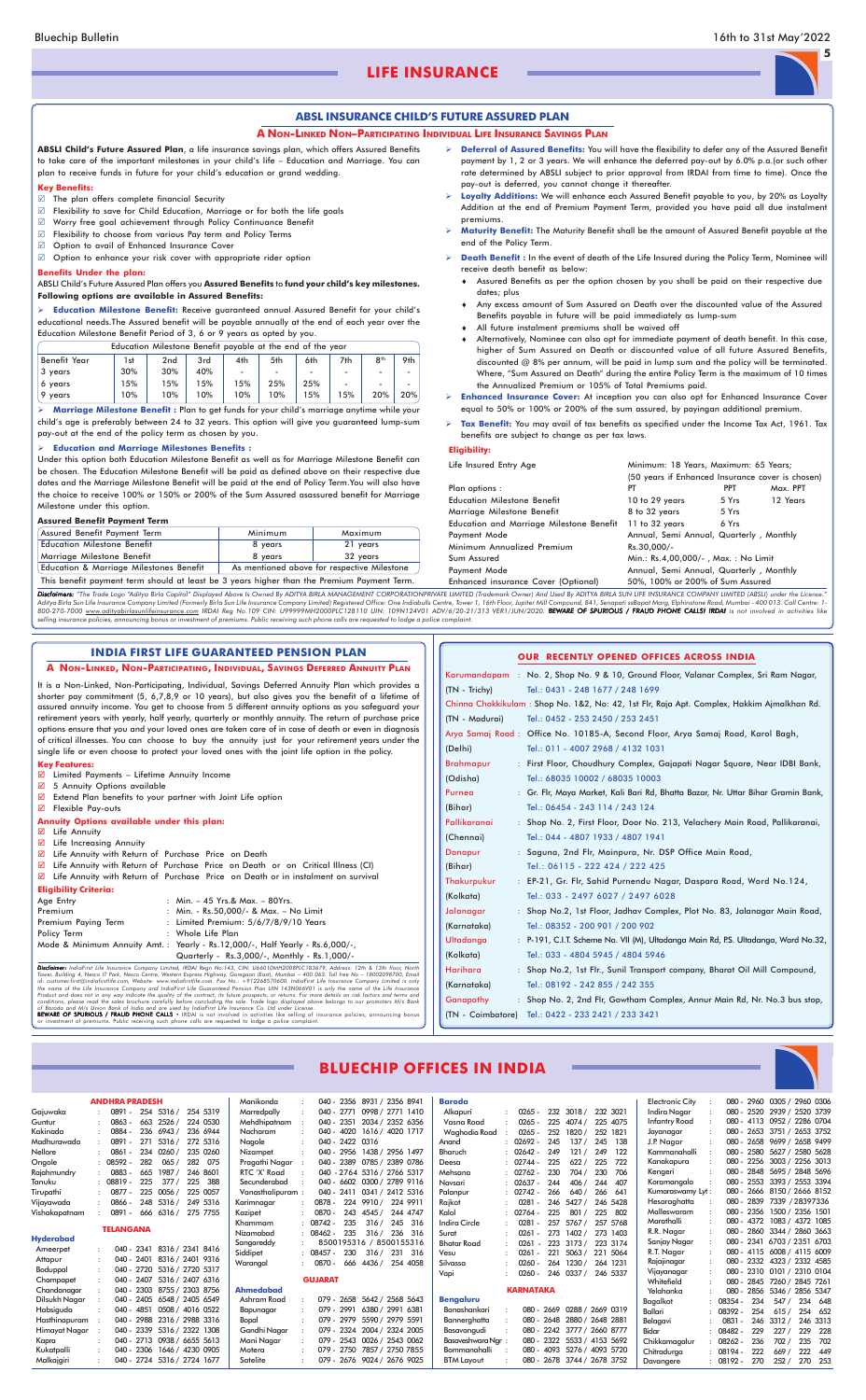

## **LIFE INSURANCE**

## **BLUECHIP OFFICES IN INDIA**

|                  | <b>ANDHRA PRADESH</b> |            |                             |          |     | Manikonda        |                |              |        | 040 - 2356 8931 / 2356 8941 | Baroda                    |                  |     |                             |          |       | <b>Electronic City</b> |             |         |     | 080 - 2960 0305 / 2960 0306 |          |       |
|------------------|-----------------------|------------|-----------------------------|----------|-----|------------------|----------------|--------------|--------|-----------------------------|---------------------------|------------------|-----|-----------------------------|----------|-------|------------------------|-------------|---------|-----|-----------------------------|----------|-------|
| Gaiuwaka         | 0891 -                |            | 254 5316 /                  | 254 5319 |     | Marredpally      |                | $040 - 2771$ |        | 0998 / 2771 1410            | Alkapuri                  | $0265 -$         |     | 232 3018 /                  | 232 3021 |       | Indira Nagar           |             |         |     | 080 - 2520 2939 / 2520 3739 |          |       |
| Guntur           | 0863                  | 663        | 2526 /                      | 224 0530 |     | Mehdhipatnam     |                | 040 - 2351   |        | 2034 / 2352 6356            | Vasna Road                | $0265 -$         | 225 | 4074 / 225 4075             |          |       | <b>Infantry Road</b>   |             |         |     | 080 - 4113 0952 / 2286 0704 |          |       |
| Kakinada         | 0884                  | 236        | 6943/                       | 236 6944 |     | Nacharam         | $040 -$        | 4020         |        | 1616 / 4020 1717            | Waghodia Road             | 0265             | 252 | 1820 /                      | 252 1821 |       | Jayanagar              |             |         |     | 080 - 2653 3751 / 2653 3752 |          |       |
| Madhurawada      | 0891 -                | 271        | 5316/                       | 272 5316 |     | Nagole           | $040 -$        | 2422 0316    |        |                             | Anand                     | $: 02692 -$      | 245 | 137/                        | 245      | - 138 | J.P. Nagar             |             |         |     | 080 - 2658 9699 / 2658 9499 |          |       |
| Nellore          | 0861                  | 234        | 0260/                       | 235 0260 |     | Nizampet         |                |              |        | 040 - 2956 1438 / 2956 1497 | Bharuch                   | 02642 -          | 249 | 121/                        | 249      | 122   | Kammanahalli           |             |         |     | 080 - 2580 5627 / 2580 5628 |          |       |
| Ongole           | 08592 -               | 282        | 065/                        | 282 075  |     | Pragathi Nagar   |                | 040 - 2389   |        | 0785 / 2389 0786            | Deesa                     | $: 02744 -$      | 225 | 622/                        | 225      | 722   | Kanakapura             |             |         |     | 080 - 2256 3003 / 2256 3013 |          |       |
| Rajahmundry      | 0883                  | 665        | 1987 /                      | 246 8601 |     | RTC 'X' Road     |                |              |        | 040 - 2764 5316 / 2766 5317 | Mehsana                   | $: 02762 -$      | 230 | 704 /                       | 230      | -706  | Kengeri                |             |         |     | 080 - 2848 5695 / 2848 5696 |          |       |
| Tanuku           | 08819                 | 225        | 377/                        | 225      | 388 | Secunderabad     |                |              |        | 040 - 6602 0300 / 2789 9116 | Navsari                   | $: 02637 -$      | 244 | 406/                        | 244      | - 407 | Koramangala            |             |         |     | 080 - 2553 3393 / 2553 3394 |          |       |
| Tirupathi        | 0877 -                | 225        | 0056 /                      | 225 0057 |     | Vanasthalipuram: |                | $040 - 2411$ |        | 0341 / 2412 5316            | Palanpur                  | $: 02742 -$      | 266 | 640/                        | 266      | 641   | Kumaraswamy Lyt:       |             |         |     | 080 - 2666 8150 / 2666 8152 |          |       |
| Vijayawada       | 0866 -                |            | 248 5316 /                  | 249 5316 |     | Karimnagar       | 0878 -         | 224          |        | 9910 / 224 9911             | Raikot                    | $0281 -$         |     | 246 5427 /                  | 246 5428 |       | Hesaraghatta           |             |         |     | 080 - 2839 7339 / 28397336  |          |       |
| Vishakapatnam    | 0891 -                | 666        | 6316/                       | 275 7755 |     | Kazipet          | 0870 -         | 243          |        | 4545 / 244 4747             | Kalol                     | 02764 -          | 225 | 801/                        | 225      | 802   | Malleswaram            |             |         |     | 080 - 2356 1500 / 2356 1501 |          |       |
|                  |                       |            |                             |          |     | Khammam          | 08742 -        | 235          | 316/   | 245 316                     | Indira Circle             | $0281 -$         | 257 | 5767 /                      | 257 5768 |       | Marathalli             |             | 080 -   |     | 4372 1083 / 4372 1085       |          |       |
|                  | <b>TELANGANA</b>      |            |                             |          |     | Nizamabad        | $: 08462 -$    | 235          | 316/   | 236 316                     | Surat                     | 0261             | 273 | 1402/                       | 273 1403 |       | R.R. Nagar             |             |         |     | 080 - 2860 3344 / 2860 3663 |          |       |
| <b>Hyderabad</b> |                       |            |                             |          |     | Sangareddy       |                |              |        | 8500195316 / 8500155316     | Bhatar Road               | 0261             |     | 223 3173 /                  | 223 3174 |       | Sanjay Nagar           |             |         |     | 080 - 2341 6703 / 2351 6703 |          |       |
| Ameerpet         |                       | 040 - 2341 | 8316 / 2341 8416            |          |     | Siddipet         | $: 08457 -$    | 230          |        | 316 / 231 316               | Vesu                      | $0261 -$         | 221 | 5063 / 221 5064             |          |       | R.T. Nagar             |             |         |     | 080 - 4115 6008 / 4115 6009 |          |       |
| Attapur          |                       | 040 - 2401 | 8316 / 2401 9316            |          |     | Warangal         | 0870 -         | 666          | 4436 / | 254 4058                    | Silvassa                  | $0260 -$         | 264 | 1230 /                      | 264 1231 |       | Rajajinagar            |             |         |     | 080 - 2332 4323 / 2332 4585 |          |       |
| Boduppal         | $040 -$               | 2720       | 5316 / 2720 5317            |          |     |                  |                |              |        |                             | Vapi                      | $0260 -$         |     | 246 0337 /                  | 246 5337 |       | Vijayanagar            |             |         |     | 080 - 2310 0101 / 2310 0104 |          |       |
| Champapet        |                       |            | 040 - 2407 5316 / 2407 6316 |          |     |                  | <b>GUJARAT</b> |              |        |                             |                           |                  |     |                             |          |       | Whitefield             |             | $080 -$ |     | 2845 7260 / 2845 7261       |          |       |
| Chandanagar      |                       |            | 040 - 2303 8755 / 2303 8756 |          |     | <b>Ahmedabad</b> |                |              |        |                             |                           | <b>KARNATAKA</b> |     |                             |          |       | Yelahanka              |             | $080 -$ |     | 2856 5346 / 2856 5347       |          |       |
| Dilsukh Nagar    |                       |            | 040 - 2405 6548 / 2405 6549 |          |     | Ashram Road      |                |              |        | 079 - 2658 5642 / 2568 5643 | <b>Bengaluru</b>          |                  |     |                             |          |       | Bagalkot               |             | 08354 - | 234 | 547/                        | 234      | 648   |
| Habsiguda        |                       | 040 - 4851 | 0508 / 4016 0522            |          |     | Bapunagar        |                | 079 - 2991   |        | 6380 / 2991 6381            | Banashankari              |                  |     | 080 - 2669 0288 / 2669 0319 |          |       | Ballari                | $: 08392 -$ |         | 254 | 615/                        | 254 652  |       |
| Hasthinapuram    |                       | 040 - 2988 | 2316 / 2988 3316            |          |     | Bopal            | $079 -$        | 2979         |        | 5590 / 2979 5591            | Bannerghatta              |                  |     | 080 - 2648 2880 / 2648 2881 |          |       | Belagavi               | 0831        |         | 246 | 3312/                       | 246 3313 |       |
| Himayat Nagar    |                       |            | 040 - 2339 5316 / 2322 1308 |          |     | Gandhi Nagar     | $079 -$        | 2324         |        | 2004 / 2324 2005            | Basavangudi               |                  |     | 080 - 2242 3777 / 2660 8777 |          |       | Bidar                  | 08482 -     |         | 229 | 227/                        | 229      | 228   |
| Kapra            |                       |            | 040 - 2713 0938 / 6655 5613 |          |     | Mani Nagar       |                |              |        | 079 - 2543 0026 / 2543 0062 | <b>Basaveshwara Ngr</b> : |                  |     | 080 - 2322 5533 / 4153 5692 |          |       | Chikkamaaalur          |             | 08262 - | 236 | 702 /                       | 235      | 702   |
| Kukatpalli       |                       |            | 040 - 2306 1646 / 4230 0905 |          |     | Motera           | 079 -          | 2750         |        | 7857 / 2750 7855            | <b>Bommanahalli</b>       |                  |     | 080 - 4093 5276 / 4093 5720 |          |       | Chitraduraa            | $: 08194 -$ |         | 222 | 669/                        | 222      | 449   |
| Malkajgiri       |                       |            | 040 - 2724 5316 / 2724 1677 |          |     | Satelite         |                |              |        | 079 - 2676 9024 / 2676 9025 | <b>BTM Layout</b>         |                  |     | 080 - 2678 3744 / 2678 3752 |          |       | Davangere              |             | 08192 - | 270 | 252/                        | 270      | - 253 |

#### **ABSL INSURANCE CHILD'S FUTURE ASSURED PLAN**

#### **A NON-LINKED NON–PARTICIPATING INDIVIDUAL LIFE INSURANCE SAVINGS PLAN**

**ABSLI Child's Future Assured Plan**, a life insurance savings plan, which offers Assured Benefits to take care of the important milestones in your child's life – Education and Marriage. You can plan to receive funds in future for your child's education or grand wedding.

#### **Key Benefits:**

- $\boxtimes$  The plan offers complete financial Security
- Flexibility to save for Child Education, Marriage or for both the life goals
- Worry free goal achievement through Policy Continuance Benefit
- $\boxtimes$  Flexibility to choose from various Pay term and Policy Terms
- Option to avail of Enhanced Insurance Cover
- $\boxtimes$  Option to enhance your risk cover with appropriate rider option

#### **Benefits Under the plan:**

#### ABSLI Child's Future Assured Plan offers you **Assured Benefits** to **fund your child's key milestones. Following options are available in Assured Benefits:**

 **Education Milestone Benefit:** Receive guaranteed annual Assured Benefit for your child's educational needs.The Assured benefit will be payable annually at the end of each year over the Education Milestone Benefit Period of 3, 6 or 9 years as opted by you.

|                     | Education Milestone Benefit payable at the end of the year |                 |     |     |     |     |                          |                 |     |
|---------------------|------------------------------------------------------------|-----------------|-----|-----|-----|-----|--------------------------|-----------------|-----|
| <b>Benefit Year</b> | 1st                                                        | 2 <sub>nd</sub> | 3rd | 4th | 5th | 6th | 7th                      | 8 <sup>th</sup> | 9th |
| 3 years             | 30%                                                        | 30%             | 40% | ٠   | -   |     | -                        | ۰               |     |
| 6 years             | 15%                                                        | 15%             | 15% | 15% | 25% | 25% | $\overline{\phantom{a}}$ | ۰               |     |
| 9<br>vears          | 10%                                                        | 10%             | 10% | 10% | 10% | 15% | 5%                       | 20%             | 20% |

 **Marriage Milestone Benefit :** Plan to get funds for your child's marriage anytime while your child's age is preferably between 24 to 32 years. This option will give you guaranteed lump-sum pay-out at the end of the policy term as chosen by you.

#### **Education and Marriage Milestones Benefits :**

Under this option both Education Milestone Benefit as well as for Marriage Milestone Benefit can be chosen. The Education Milestone Benefit will be paid as defined above on their respective due dates and the Marriage Milestone Benefit will be paid at the end of Policy Term.You will also have the choice to receive 100% or 150% or 200% of the Sum Assured asassured benefit for Marriage Milestone under this option.

■ Life Annuity with Return of Purchase Price on Death or in instalment on survival **Eligibility Criteria:**

#### **Assured Benefit Payment Term**

| Assured Benefit Payment Term                       | Minimum | Maximum                                     |
|----------------------------------------------------|---------|---------------------------------------------|
| <b>Education Milestone Benefit</b>                 | 8 years | 21 years                                    |
| Marriage Milestone Benefit                         | 8 years | 32 vears                                    |
| <b>Education &amp; Marriage Milestones Benefit</b> |         | As mentioned above for respective Milestone |

This benefit payment term should at least be 3 years higher than the Premium Payment Term.

 **Deferral of Assured Benefits:** You will have the flexibility to defer any of the Assured Benefit payment by 1, 2 or 3 years. We will enhance the deferred pay-out by 6.0% p.a.(or such other rate determined by ABSLI subject to prior approval from IRDAI from time to time). Once the pay-out is deferred, you cannot change it thereafter.

- **Loyalty Additions:** We will enhance each Assured Benefit payable to you, by 20% as Loyalty Addition at the end of Premium Payment Term, provided you have paid all due instalment premiums.
- **Maturity Benefit:** The Maturity Benefit shall be the amount of Assured Benefit payable at the end of the Policy Term.
- **Death Benefit :** In the event of death of the Life Insured during the Policy Term, Nominee will receive death benefit as below:
	- ♦ Assured Benefits as per the option chosen by you shall be paid on their respective due dates; plus
	- ♦ Any excess amount of Sum Assured on Death over the discounted value of the Assured Benefits payable in future will be paid immediately as lump-sum
	- ♦ All future instalment premiums shall be waived off
	- Alternatively, Nominee can also opt for immediate payment of death benefit. In this case, higher of Sum Assured on Death or discounted value of all future Assured Benefits, discounted @ 8% per annum, will be paid in lump sum and the policy will be terminated. Where, "Sum Assured on Death" during the entire Policy Term is the maximum of 10 times the Annualized Premium or 105% of Total Premiums paid.
- **Enhanced Insurance Cover:** At inception you can also opt for Enhanced Insurance Cover equal to 50% or 100% or 200% of the sum assured, by payingan additional premium.
- **Tax Benefit:** You may avail of tax benefits as specified under the Income Tax Act, 1961. Tax benefits are subject to change as per tax laws.

#### **Eligibility:**

| Life Insured Entry Age                   | Minimum: 18 Years, Maximum: 65 Years;            |            |          |  |  |  |  |
|------------------------------------------|--------------------------------------------------|------------|----------|--|--|--|--|
|                                          | (50 years if Enhanced Insurance cover is chosen) |            |          |  |  |  |  |
| Plan options :                           | PТ                                               | <b>PPT</b> | Max. PPT |  |  |  |  |
| Education Milestone Benefit              | 10 to 29 years                                   | 5 Yrs      | 12 Years |  |  |  |  |
| Marriage Milestone Benefit               | 8 to 32 years                                    | 5 Yrs      |          |  |  |  |  |
| Education and Marriage Milestone Benefit | 11 to 32 years                                   | 6 Yrs      |          |  |  |  |  |
| Payment Mode                             | Annual, Semi Annual, Quarterly, Monthly          |            |          |  |  |  |  |
| Minimum Annualized Premium               | Rs.30,000/-                                      |            |          |  |  |  |  |
| Sum Assured                              | Min.: Rs.4,00,000/-, Max.: No Limit              |            |          |  |  |  |  |
| Payment Mode                             | Annual, Semi Annual, Quarterly, Monthly          |            |          |  |  |  |  |
| Enhanced insurance Cover (Optional)      | 50%, 100% or 200% of Sum Assured                 |            |          |  |  |  |  |
|                                          |                                                  |            |          |  |  |  |  |

Disclaimers: "The Trade Logo "Aditya Birla Capital" Displayed Above Is Owned By ADITYA BIRLA MANAGEMENT CORPORATIONPRIVATE LIMITED (Trademark Owner) And Used By ADITYA BIRLA SUN LIFE INSURANCE COMPANY LIMITED (ABSLI) under Aditya Birla Sun Life Insurance Company Limited (Formerly Birla Sun Life Insurance Company Limited) Registered Office: One Indiabulls Centre, Tower 1, 16th Floor, Jupiter Mill Compound, 841, Senapati ssBapat Marg, Elphinst

It is a Non-Linked, Non-Participating, Individual, Savings Deferred Annuity Plan which provides a shorter pay commitment (5, 6,7,8,9 or 10 years), but also gives you the benefit of a lifetime of assured annuity income. You get to choose from 5 different annuity options as you safeguard your retirement years with yearly, half yearly, quarterly or monthly annuity. The return of purchase price options ensure that you and your loved ones are taken care of in case of death or even in diagnosis of critical illnesses. You can choose to buy the annuity just for your retirement years under the single life or even choose to protect your loved ones with the joint life option in the policy.

#### **Key Features:**

- $\overline{\boxtimes}$  Limited Payments Lifetime Annuity Income
- 5 Annuity Options available
- **Extend Plan benefits to your partner with Joint Life option**
- Flexible Pay-outs

#### **Annuity Options available under this plan:**

- Life Annuity
- $\nabla$  Life Increasing Annuity
- Life Annuity with Return of Purchase Price on Death
- Life Annuity with Return of Purchase Price on Death or on Critical Illness (CI)

| Age Entry           | : Min. $-45$ Yrs.& Max. $-80$ Yrs.                                             |
|---------------------|--------------------------------------------------------------------------------|
| Premium             | : Min. - Rs.50.000/- & Max. - No Limit                                         |
| Premium Paying Term | : Limited Premium: $5/6/7/8/9/10$ Years                                        |
| Policy Term         | : Whole Life Plan                                                              |
|                     | Mode & Minimum Annuity Amt. :  Yearly - Rs.12,000/-, Half Yearly - Rs.6,000/-, |
|                     |                                                                                |

Quarterly - Rs.3,000/-, Monthly - Rs.1,000/-

**Disclaimer:** IndiaFirst Life Insurance Company Limited, IRDAI Regn No.143, CIN: U66010MH2008PLC183679, Address: 12th & 13th floor, North<br>Tower, Building 4, Nesco IT Park, Nesco Centre, Western Express Highway, Goregoon (E

#### **INDIA FIRST LIFE GUARANTEED PENSION PLAN**

#### **A NON-LINKED, NON-PARTICIPATING, INDIVIDUAL, SAVINGS DEFERRED ANNUITY PLAN**

#### **OUR RECENTLY OPENED OFFICES ACROSS INDIA**

|                  | Karumandapam : No. 2, Shop No. 9 & 10, Ground Floor, Valanar Complex, Sri Ram Nagar,       |
|------------------|--------------------------------------------------------------------------------------------|
| (TN - Trichy)    | Tel.: 0431 - 248 1677 / 248 1699                                                           |
|                  | Chinna Chokkikulam: Shop No. 1&2, No: 42, 1st Flr, Raja Apt. Complex, Hakkim Ajmalkhan Rd. |
| (TN - Madurai)   | Tel.: 0452 - 253 2450 / 253 2451                                                           |
|                  | Arya Samaj Road: Office No. 10185-A, Second Floor, Arya Samaj Road, Karol Bagh,            |
| (Delhi)          | Tel.: 011 - 4007 2968 / 4132 1031                                                          |
| <b>Brahmapur</b> | : First Floor, Choudhury Complex, Gajapati Nagar Square, Near IDBI Bank,                   |
| (Odisha)         | Tel.: 68035 10002 / 68035 10003                                                            |
| Purnea           | : Gr. Flr, Maya Market, Kali Bari Rd, Bhatta Bazar, Nr. Uttar Bihar Gramin Bank,           |
| (Bihar)          | Tel.: 06454 - 243 114 / 243 124                                                            |
| Pallikaranai     | : Shop No. 2, First Floor, Door No. 213, Velachery Main Road, Pallikaranai,                |
| (Chennai)        | Tel.: 044 - 4807 1933 / 4807 1941                                                          |
| Danapur          | : Saguna, 2nd Flr, Mainpura, Nr. DSP Office Main Road,                                     |
| (Bihar)          | Tel.: 06115 - 222 424 / 222 425                                                            |
| Thakurpukur      | : EP-21, Gr. Flr, Sahid Purnendu Nagar, Daspara Road, Word No.124,                         |
| (Kolkata)        | Tel.: 033 - 2497 6027 / 2497 6028                                                          |
| Jalanagar        | : Shop No.2, 1st Floor, Jadhav Complex, Plot No. 83, Jalanagar Main Road,                  |
| (Karnataka)      | Tel.: 08352 - 200 901 / 200 902                                                            |
| Ultadanga        | : P-191, C.I.T. Scheme No. VII (M), Ultadanga Main Rd, P.S. Ultadanga, Ward No.32,         |
| (Kolkata)        | Tel.: 033 - 4804 5945 / 4804 5946                                                          |
| Harihara         | : Shop No.2, 1st Flr., Sunil Transport company, Bharat Oil Mill Compound,                  |
| (Karnataka)      | Tel.: 08192 - 242 855 / 242 355                                                            |

of Baroda and M/s Union Bank of India and are used by IndiaFirst Life Insurance Co. Ltd under License.<br>**BEWARE OF SPURIOUS / FRAUD PHONE CALLS •** IRDAI is not involved in activities like selling of insurance policies, anno

Ganapathy : Shop No. 2, 2nd Flr, Gowtham Complex, Annur Main Rd, Nr. No.3 bus stop,

(TN - Coimbatore) Tel.: 0422 - 233 2421 / 233 3421